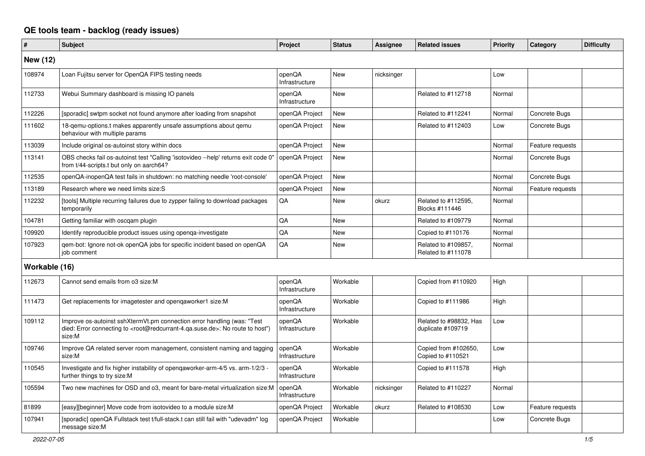## **QE tools team - backlog (ready issues)**

| #               | <b>Subject</b>                                                                                                                                                                                    | Project                  | <b>Status</b> | Assignee   | <b>Related issues</b>                       | Priority | Category         | <b>Difficulty</b> |
|-----------------|---------------------------------------------------------------------------------------------------------------------------------------------------------------------------------------------------|--------------------------|---------------|------------|---------------------------------------------|----------|------------------|-------------------|
| <b>New (12)</b> |                                                                                                                                                                                                   |                          |               |            |                                             |          |                  |                   |
| 108974          | Loan Fujitsu server for OpenQA FIPS testing needs                                                                                                                                                 | openQA<br>Infrastructure | New           | nicksinger |                                             | Low      |                  |                   |
| 112733          | Webui Summary dashboard is missing IO panels                                                                                                                                                      | openQA<br>Infrastructure | New           |            | Related to #112718                          | Normal   |                  |                   |
| 112226          | [sporadic] swtpm socket not found anymore after loading from snapshot                                                                                                                             | openQA Project           | New           |            | Related to #112241                          | Normal   | Concrete Bugs    |                   |
| 111602          | 18-qemu-options.t makes apparently unsafe assumptions about qemu<br>behaviour with multiple params                                                                                                | openQA Project           | New           |            | Related to #112403                          | Low      | Concrete Bugs    |                   |
| 113039          | Include original os-autoinst story within docs                                                                                                                                                    | openQA Project           | New           |            |                                             | Normal   | Feature requests |                   |
| 113141          | OBS checks fail os-autoinst test "Calling 'isotovideo --help' returns exit code 0'<br>from t/44-scripts.t but only on aarch64?                                                                    | openQA Project           | New           |            |                                             | Normal   | Concrete Bugs    |                   |
| 112535          | openQA-inopenQA test fails in shutdown: no matching needle 'root-console'                                                                                                                         | openQA Project           | New           |            |                                             | Normal   | Concrete Bugs    |                   |
| 113189          | Research where we need limits size:S                                                                                                                                                              | openQA Project           | New           |            |                                             | Normal   | Feature requests |                   |
| 112232          | [tools] Multiple recurring failures due to zypper failing to download packages<br>temporarily                                                                                                     | QA                       | New           | okurz      | Related to #112595,<br>Blocks #111446       | Normal   |                  |                   |
| 104781          | Getting familiar with oscqam plugin                                                                                                                                                               | QA                       | New           |            | Related to #109779                          | Normal   |                  |                   |
| 109920          | Identify reproducible product issues using openga-investigate                                                                                                                                     | QA                       | New           |            | Copied to #110176                           | Normal   |                  |                   |
| 107923          | gem-bot: Ignore not-ok openQA jobs for specific incident based on openQA<br>job comment                                                                                                           | QA                       | New           |            | Related to #109857,<br>Related to #111078   | Normal   |                  |                   |
| Workable (16)   |                                                                                                                                                                                                   |                          |               |            |                                             |          |                  |                   |
| 112673          | Cannot send emails from o3 size:M                                                                                                                                                                 | openQA<br>Infrastructure | Workable      |            | Copied from #110920                         | High     |                  |                   |
| 111473          | Get replacements for imagetester and opengaworker1 size: M                                                                                                                                        | openQA<br>Infrastructure | Workable      |            | Copied to #111986                           | High     |                  |                   |
| 109112          | Improve os-autoinst sshXtermVt.pm connection error handling (was: "Test<br>died: Error connecting to <root@redcurrant-4.qa.suse.de>: No route to host")<br/>size:M</root@redcurrant-4.qa.suse.de> | openQA<br>Infrastructure | Workable      |            | Related to #98832, Has<br>duplicate #109719 | Low      |                  |                   |
| 109746          | Improve QA related server room management, consistent naming and tagging<br>size:M                                                                                                                | openQA<br>Infrastructure | Workable      |            | Copied from #102650,<br>Copied to #110521   | Low      |                  |                   |
| 110545          | Investigate and fix higher instability of openqaworker-arm-4/5 vs. arm-1/2/3 -<br>further things to try size:M                                                                                    | openQA<br>Infrastructure | Workable      |            | Copied to #111578                           | High     |                  |                   |
| 105594          | Two new machines for OSD and o3, meant for bare-metal virtualization size:M                                                                                                                       | openQA<br>Infrastructure | Workable      | nicksinger | Related to #110227                          | Normal   |                  |                   |
| 81899           | [easy][beginner] Move code from isotovideo to a module size: M                                                                                                                                    | openQA Project           | Workable      | okurz      | Related to #108530                          | Low      | Feature requests |                   |
| 107941          | [sporadic] openQA Fullstack test t/full-stack.t can still fail with "udevadm" log<br>message size:M                                                                                               | openQA Project           | Workable      |            |                                             | Low      | Concrete Bugs    |                   |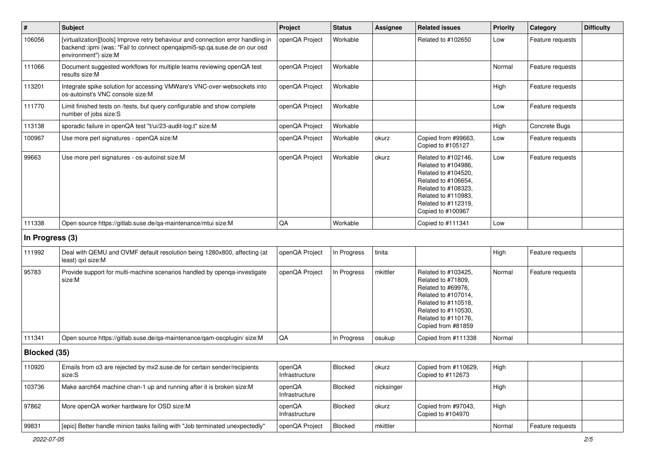| $\vert$ #       | Subject                                                                                                                                                                               | Project                  | <b>Status</b> | Assignee   | <b>Related issues</b>                                                                                                                                                              | <b>Priority</b> | Category         | <b>Difficulty</b> |
|-----------------|---------------------------------------------------------------------------------------------------------------------------------------------------------------------------------------|--------------------------|---------------|------------|------------------------------------------------------------------------------------------------------------------------------------------------------------------------------------|-----------------|------------------|-------------------|
| 106056          | [virtualization][tools] Improve retry behaviour and connection error handling in<br>backend::ipmi (was: "Fail to connect opengaipmi5-sp.ga.suse.de on our osd<br>environment") size:M | openQA Project           | Workable      |            | Related to #102650                                                                                                                                                                 | Low             | Feature requests |                   |
| 111066          | Document suggested workflows for multiple teams reviewing openQA test<br>results size:M                                                                                               | openQA Project           | Workable      |            |                                                                                                                                                                                    | Normal          | Feature requests |                   |
| 113201          | Integrate spike solution for accessing VMWare's VNC-over-websockets into<br>os-autoinst's VNC console size:M                                                                          | openQA Project           | Workable      |            |                                                                                                                                                                                    | High            | Feature requests |                   |
| 111770          | Limit finished tests on /tests, but query configurable and show complete<br>number of jobs size:S                                                                                     | openQA Project           | Workable      |            |                                                                                                                                                                                    | Low             | Feature requests |                   |
| 113138          | sporadic failure in openQA test "t/ui/23-audit-log.t" size:M                                                                                                                          | openQA Project           | Workable      |            |                                                                                                                                                                                    | High            | Concrete Bugs    |                   |
| 100967          | Use more perl signatures - openQA size:M                                                                                                                                              | openQA Project           | Workable      | okurz      | Copied from #99663,<br>Copied to #105127                                                                                                                                           | Low             | Feature requests |                   |
| 99663           | Use more perl signatures - os-autoinst size:M                                                                                                                                         | openQA Project           | Workable      | okurz      | Related to #102146,<br>Related to #104986,<br>Related to #104520,<br>Related to #106654,<br>Related to #108323,<br>Related to #110983,<br>Related to #112319,<br>Copied to #100967 | Low             | Feature requests |                   |
| 111338          | Open source https://gitlab.suse.de/qa-maintenance/mtui size:M                                                                                                                         | $\mathsf{QA}$            | Workable      |            | Copied to #111341                                                                                                                                                                  | Low             |                  |                   |
| In Progress (3) |                                                                                                                                                                                       |                          |               |            |                                                                                                                                                                                    |                 |                  |                   |
| 111992          | Deal with QEMU and OVMF default resolution being 1280x800, affecting (at<br>least) gxl size:M                                                                                         | openQA Project           | In Progress   | tinita     |                                                                                                                                                                                    | High            | Feature requests |                   |
| 95783           | Provide support for multi-machine scenarios handled by openga-investigate<br>size:M                                                                                                   | openQA Project           | In Progress   | mkittler   | Related to #103425,<br>Related to #71809,<br>Related to #69976,<br>Related to #107014,<br>Related to #110518,<br>Related to #110530,<br>Related to #110176,<br>Copied from #81859  | Normal          | Feature requests |                   |
| 111341          | Open source https://gitlab.suse.de/qa-maintenance/qam-oscplugin/ size:M                                                                                                               | QA                       | In Progress   | osukup     | Copied from #111338                                                                                                                                                                | Normal          |                  |                   |
| Blocked (35)    |                                                                                                                                                                                       |                          |               |            |                                                                                                                                                                                    |                 |                  |                   |
| 110920          | Emails from o3 are rejected by mx2.suse.de for certain sender/recipients<br>size:S                                                                                                    | openQA<br>Infrastructure | Blocked       | okurz      | Copied from #110629,<br>Copied to #112673                                                                                                                                          | High            |                  |                   |
| 103736          | Make aarch64 machine chan-1 up and running after it is broken size:M                                                                                                                  | openQA<br>Infrastructure | Blocked       | nicksinger |                                                                                                                                                                                    | High            |                  |                   |
| 97862           | More openQA worker hardware for OSD size:M                                                                                                                                            | openQA<br>Infrastructure | Blocked       | okurz      | Copied from #97043,<br>Copied to #104970                                                                                                                                           | High            |                  |                   |
| 99831           | [epic] Better handle minion tasks failing with "Job terminated unexpectedly"                                                                                                          | openQA Project           | Blocked       | mkittler   |                                                                                                                                                                                    | Normal          | Feature requests |                   |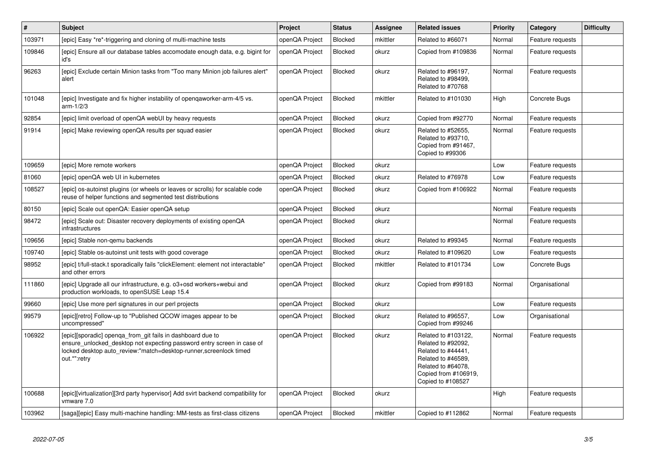| $\vert$ # | <b>Subject</b>                                                                                                                                                                                                            | Project        | <b>Status</b>  | <b>Assignee</b> | <b>Related issues</b>                                                                                                                                    | <b>Priority</b> | Category         | <b>Difficulty</b> |
|-----------|---------------------------------------------------------------------------------------------------------------------------------------------------------------------------------------------------------------------------|----------------|----------------|-----------------|----------------------------------------------------------------------------------------------------------------------------------------------------------|-----------------|------------------|-------------------|
| 103971    | [epic] Easy *re*-triggering and cloning of multi-machine tests                                                                                                                                                            | openQA Project | Blocked        | mkittler        | Related to #66071                                                                                                                                        | Normal          | Feature requests |                   |
| 109846    | [epic] Ensure all our database tables accomodate enough data, e.g. bigint for<br>id's                                                                                                                                     | openQA Project | Blocked        | okurz           | Copied from #109836                                                                                                                                      | Normal          | Feature requests |                   |
| 96263     | [epic] Exclude certain Minion tasks from "Too many Minion job failures alert"<br>alert                                                                                                                                    | openQA Project | <b>Blocked</b> | okurz           | Related to #96197,<br>Related to #98499,<br>Related to #70768                                                                                            | Normal          | Feature requests |                   |
| 101048    | [epic] Investigate and fix higher instability of opengaworker-arm-4/5 vs.<br>$arm-1/2/3$                                                                                                                                  | openQA Project | Blocked        | mkittler        | Related to #101030                                                                                                                                       | High            | Concrete Bugs    |                   |
| 92854     | [epic] limit overload of openQA webUI by heavy requests                                                                                                                                                                   | openQA Project | Blocked        | okurz           | Copied from #92770                                                                                                                                       | Normal          | Feature requests |                   |
| 91914     | [epic] Make reviewing openQA results per squad easier                                                                                                                                                                     | openQA Project | Blocked        | okurz           | Related to #52655,<br>Related to #93710,<br>Copied from #91467,<br>Copied to #99306                                                                      | Normal          | Feature requests |                   |
| 109659    | [epic] More remote workers                                                                                                                                                                                                | openQA Project | Blocked        | okurz           |                                                                                                                                                          | Low             | Feature requests |                   |
| 81060     | [epic] openQA web UI in kubernetes                                                                                                                                                                                        | openQA Project | Blocked        | okurz           | Related to #76978                                                                                                                                        | Low             | Feature requests |                   |
| 108527    | [epic] os-autoinst plugins (or wheels or leaves or scrolls) for scalable code<br>reuse of helper functions and segmented test distributions                                                                               | openQA Project | Blocked        | okurz           | Copied from #106922                                                                                                                                      | Normal          | Feature requests |                   |
| 80150     | [epic] Scale out openQA: Easier openQA setup                                                                                                                                                                              | openQA Project | Blocked        | okurz           |                                                                                                                                                          | Normal          | Feature requests |                   |
| 98472     | [epic] Scale out: Disaster recovery deployments of existing openQA<br>infrastructures                                                                                                                                     | openQA Project | Blocked        | okurz           |                                                                                                                                                          | Normal          | Feature requests |                   |
| 109656    | [epic] Stable non-gemu backends                                                                                                                                                                                           | openQA Project | <b>Blocked</b> | okurz           | Related to #99345                                                                                                                                        | Normal          | Feature requests |                   |
| 109740    | [epic] Stable os-autoinst unit tests with good coverage                                                                                                                                                                   | openQA Project | Blocked        | okurz           | Related to #109620                                                                                                                                       | Low             | Feature requests |                   |
| 98952     | [epic] t/full-stack.t sporadically fails "clickElement: element not interactable"<br>and other errors                                                                                                                     | openQA Project | Blocked        | mkittler        | Related to #101734                                                                                                                                       | Low             | Concrete Bugs    |                   |
| 111860    | [epic] Upgrade all our infrastructure, e.g. o3+osd workers+webui and<br>production workloads, to openSUSE Leap 15.4                                                                                                       | openQA Project | <b>Blocked</b> | okurz           | Copied from #99183                                                                                                                                       | Normal          | Organisational   |                   |
| 99660     | [epic] Use more perl signatures in our perl projects                                                                                                                                                                      | openQA Project | <b>Blocked</b> | okurz           |                                                                                                                                                          | Low             | Feature requests |                   |
| 99579     | [epic][retro] Follow-up to "Published QCOW images appear to be<br>uncompressed"                                                                                                                                           | openQA Project | Blocked        | okurz           | Related to #96557.<br>Copied from #99246                                                                                                                 | Low             | Organisational   |                   |
| 106922    | [epic][sporadic] openga_from_git fails in dashboard due to<br>ensure unlocked desktop not expecting password entry screen in case of<br>locked desktop auto_review:"match=desktop-runner,screenlock timed<br>out.*":retry | openQA Project | <b>Blocked</b> | okurz           | Related to #103122,<br>Related to #92092,<br>Related to #44441,<br>Related to #46589,<br>Related to #64078,<br>Copied from #106919,<br>Copied to #108527 | Normal          | Feature requests |                   |
| 100688    | [epic][virtualization][3rd party hypervisor] Add svirt backend compatibility for<br>vmware 7.0                                                                                                                            | openQA Project | Blocked        | okurz           |                                                                                                                                                          | High            | Feature requests |                   |
| 103962    | [saga][epic] Easy multi-machine handling: MM-tests as first-class citizens                                                                                                                                                | openQA Project | Blocked        | mkittler        | Copied to #112862                                                                                                                                        | Normal          | Feature requests |                   |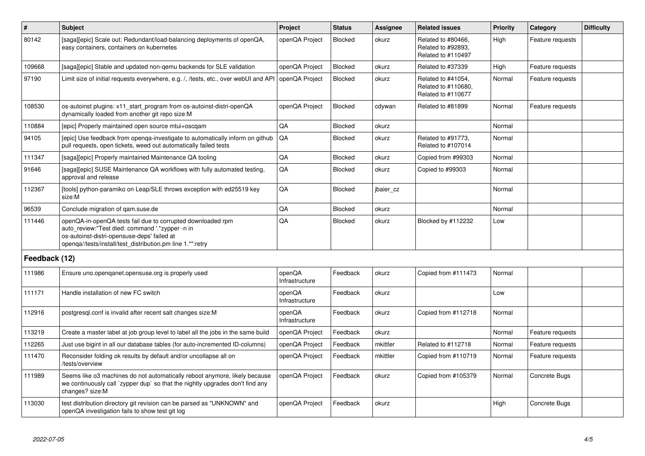| $\vert$ #     | <b>Subject</b>                                                                                                                                                                                                              | Project                  | <b>Status</b>  | Assignee  | <b>Related issues</b>                                           | <b>Priority</b> | Category         | <b>Difficulty</b> |
|---------------|-----------------------------------------------------------------------------------------------------------------------------------------------------------------------------------------------------------------------------|--------------------------|----------------|-----------|-----------------------------------------------------------------|-----------------|------------------|-------------------|
| 80142         | [saga][epic] Scale out: Redundant/load-balancing deployments of openQA,<br>easy containers, containers on kubernetes                                                                                                        | openQA Project           | Blocked        | okurz     | Related to #80466,<br>Related to #92893,<br>Related to #110497  | High            | Feature requests |                   |
| 109668        | [saga][epic] Stable and updated non-qemu backends for SLE validation                                                                                                                                                        | openQA Project           | Blocked        | okurz     | Related to #37339                                               | High            | Feature requests |                   |
| 97190         | Limit size of initial requests everywhere, e.g. /, /tests, etc., over webUI and API                                                                                                                                         | openQA Project           | <b>Blocked</b> | okurz     | Related to #41054,<br>Related to #110680,<br>Related to #110677 | Normal          | Feature requests |                   |
| 108530        | os-autoinst plugins: x11_start_program from os-autoinst-distri-openQA<br>dynamically loaded from another git repo size:M                                                                                                    | openQA Project           | <b>Blocked</b> | cdywan    | Related to #81899                                               | Normal          | Feature requests |                   |
| 110884        | [epic] Properly maintained open source mtui+oscqam                                                                                                                                                                          | QA                       | <b>Blocked</b> | okurz     |                                                                 | Normal          |                  |                   |
| 94105         | [epic] Use feedback from openga-investigate to automatically inform on github<br>pull requests, open tickets, weed out automatically failed tests                                                                           | QA                       | Blocked        | okurz     | Related to #91773,<br>Related to #107014                        | Normal          |                  |                   |
| 111347        | [saga][epic] Properly maintained Maintenance QA tooling                                                                                                                                                                     | QA                       | <b>Blocked</b> | okurz     | Copied from #99303                                              | Normal          |                  |                   |
| 91646         | [saga][epic] SUSE Maintenance QA workflows with fully automated testing,<br>approval and release                                                                                                                            | QA                       | <b>Blocked</b> | okurz     | Copied to #99303                                                | Normal          |                  |                   |
| 112367        | [tools] python-paramiko on Leap/SLE throws exception with ed25519 key<br>size:M                                                                                                                                             | QA                       | <b>Blocked</b> | jbaier cz |                                                                 | Normal          |                  |                   |
| 96539         | Conclude migration of gam.suse.de                                                                                                                                                                                           | QA                       | <b>Blocked</b> | okurz     |                                                                 | Normal          |                  |                   |
| 111446        | openQA-in-openQA tests fail due to corrupted downloaded rpm<br>auto_review:"Test died: command '.*zypper -n in<br>os-autoinst-distri-opensuse-deps' failed at<br>openga//tests/install/test distribution.pm line 1.*":retry | QA                       | <b>Blocked</b> | okurz     | Blocked by #112232                                              | Low             |                  |                   |
| Feedback (12) |                                                                                                                                                                                                                             |                          |                |           |                                                                 |                 |                  |                   |
| 111986        | Ensure uno.openqanet.opensuse.org is properly used                                                                                                                                                                          | openQA<br>Infrastructure | Feedback       | okurz     | Copied from #111473                                             | Normal          |                  |                   |
| 111171        | Handle installation of new FC switch                                                                                                                                                                                        | openQA<br>Infrastructure | Feedback       | okurz     |                                                                 | Low             |                  |                   |
| 112916        | postgresql.conf is invalid after recent salt changes size:M                                                                                                                                                                 | openQA<br>Infrastructure | Feedback       | okurz     | Copied from #112718                                             | Normal          |                  |                   |
| 113219        | Create a master label at job group level to label all the jobs in the same build                                                                                                                                            | openQA Project           | Feedback       | okurz     |                                                                 | Normal          | Feature requests |                   |
| 112265        | Just use bigint in all our database tables (for auto-incremented ID-columns)                                                                                                                                                | openQA Project           | Feedback       | mkittler  | Related to #112718                                              | Normal          | Feature requests |                   |
| 111470        | Reconsider folding ok results by default and/or uncollapse all on<br>/tests/overview                                                                                                                                        | openQA Project           | Feedback       | mkittler  | Copied from #110719                                             | Normal          | Feature requests |                   |
| 111989        | Seems like o3 machines do not automatically reboot anymore, likely because<br>we continuously call `zypper dup` so that the nightly upgrades don't find any<br>changes? size:M                                              | openQA Project           | Feedback       | okurz     | Copied from #105379                                             | Normal          | Concrete Bugs    |                   |
| 113030        | test distribution directory git revision can be parsed as "UNKNOWN" and<br>openQA investigation fails to show test git log                                                                                                  | openQA Project           | Feedback       | okurz     |                                                                 | High            | Concrete Bugs    |                   |